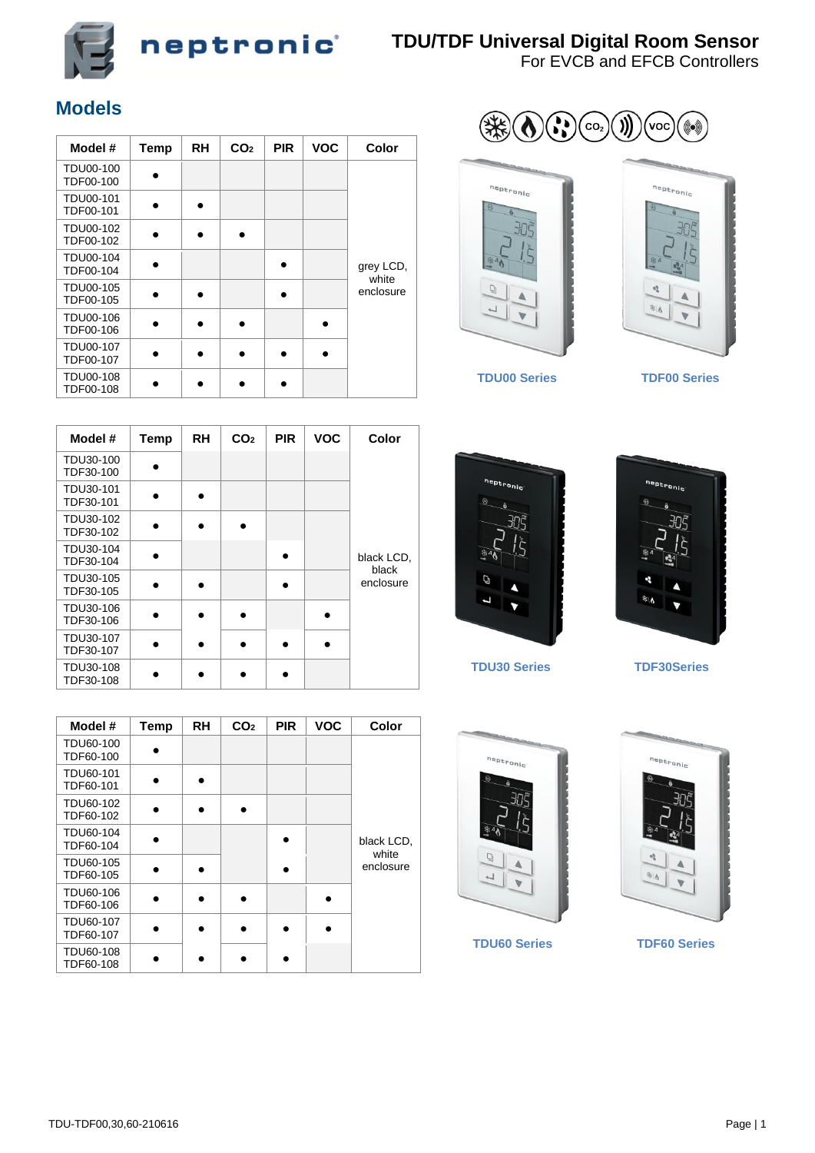

neptronic

## **TDU/TDF Universal Digital Room Sensor**

For EVCB and EFCB Controllers

## **Models**

| Model #                       | <b>Temp</b> | <b>RH</b> | CO <sub>2</sub> | <b>PIR</b> | <b>VOC</b> | Color                           |
|-------------------------------|-------------|-----------|-----------------|------------|------------|---------------------------------|
| TDU00-100<br>TDF00-100        |             |           |                 |            |            | grey LCD,<br>white<br>enclosure |
| <b>TDU00-101</b><br>TDF00-101 |             |           |                 |            |            |                                 |
| TDU00-102<br>TDF00-102        |             |           |                 |            |            |                                 |
| TDU00-104<br>TDF00-104        |             |           |                 |            |            |                                 |
| TDU00-105<br>TDF00-105        |             |           |                 |            |            |                                 |
| TDU00-106<br>TDF00-106        |             |           |                 |            |            |                                 |
| <b>TDU00-107</b><br>TDF00-107 |             |           |                 |            |            |                                 |
| <b>TDU00-108</b><br>TDF00-108 |             |           |                 |            |            |                                 |

| Model #                | Temp | <b>RH</b> | CO <sub>2</sub> | <b>PIR</b> | <b>VOC</b> | Color                            |
|------------------------|------|-----------|-----------------|------------|------------|----------------------------------|
| TDU30-100<br>TDF30-100 |      |           |                 |            |            | black LCD,<br>black<br>enclosure |
| TDU30-101<br>TDF30-101 |      |           |                 |            |            |                                  |
| TDU30-102<br>TDF30-102 |      |           |                 |            |            |                                  |
| TDU30-104<br>TDF30-104 |      |           |                 |            |            |                                  |
| TDU30-105<br>TDF30-105 |      |           |                 |            |            |                                  |
| TDU30-106<br>TDF30-106 |      |           |                 |            |            |                                  |
| TDU30-107<br>TDF30-107 |      |           |                 |            |            |                                  |
| TDU30-108<br>TDF30-108 |      |           |                 |            |            |                                  |

| Model #                | Temp | <b>RH</b> | CO <sub>2</sub> | <b>PIR</b> | <b>VOC</b> | <b>Color</b>                     |
|------------------------|------|-----------|-----------------|------------|------------|----------------------------------|
| TDU60-100<br>TDF60-100 |      |           |                 |            |            | black LCD,<br>white<br>enclosure |
| TDU60-101<br>TDF60-101 |      |           |                 |            |            |                                  |
| TDU60-102<br>TDF60-102 |      |           |                 |            |            |                                  |
| TDU60-104<br>TDF60-104 |      |           |                 |            |            |                                  |
| TDU60-105<br>TDF60-105 |      |           |                 |            |            |                                  |
| TDU60-106<br>TDF60-106 |      |           |                 |            |            |                                  |
| TDU60-107<br>TDF60-107 |      |           |                 |            |            |                                  |
| TDU60-108<br>TDF60-108 |      |           |                 |            |            |                                  |







**TDU00 Series TDF00 Series**



**TDU30 Series TDF30Series**





**TDU60 Series TDF60 Series**

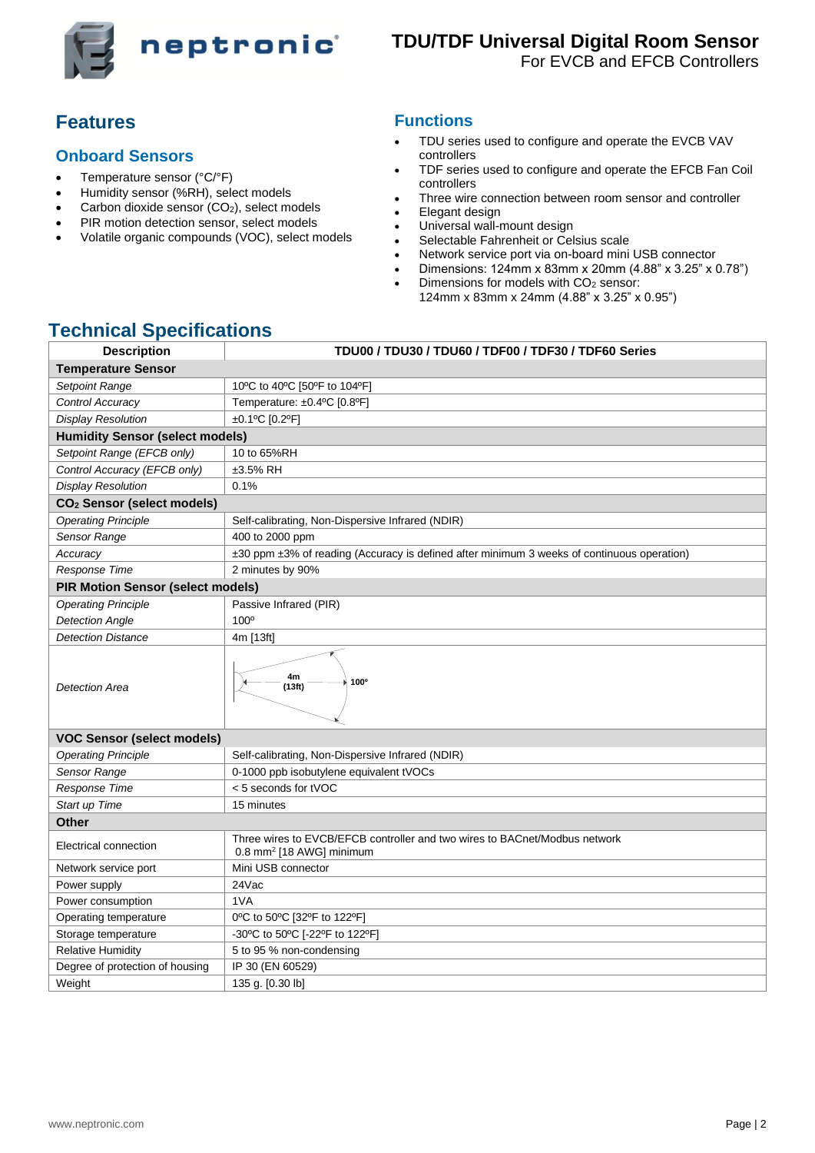

# **TDU/TDF Universal Digital Room Sensor**

For EVCB and EFCB Controllers

## **Features**

### **Onboard Sensors**

- Temperature sensor (°C/°F)
- Humidity sensor (%RH), select models
- Carbon dioxide sensor  $(CO<sub>2</sub>)$ , select models
- PIR motion detection sensor, select models
- Volatile organic compounds (VOC), select models

#### **Functions**

- TDU series used to configure and operate the EVCB VAV controllers
- TDF series used to configure and operate the EFCB Fan Coil controllers
- Three wire connection between room sensor and controller
- Elegant design
- Universal wall-mount design
- Selectable Fahrenheit or Celsius scale
- Network service port via on-board mini USB connector
- Dimensions: 124mm x 83mm x 20mm (4.88" x 3.25" x 0.78")
- $\bullet$  Dimensions for models with  $CO<sub>2</sub>$  sensor: 124mm x 83mm x 24mm (4.88" x 3.25" x 0.95")

## **Technical Specifications**

| <b>Description</b><br>TDU00 / TDU30 / TDU60 / TDF00 / TDF30 / TDF60 Series                                                                  |  |
|---------------------------------------------------------------------------------------------------------------------------------------------|--|
| <b>Temperature Sensor</b>                                                                                                                   |  |
| Setpoint Range<br>10°C to 40°C [50°F to 104°F]                                                                                              |  |
| Control Accuracy<br>Temperature: ±0.4°C [0.8°F]                                                                                             |  |
| <b>Display Resolution</b><br>±0.1°C [0.2°F]                                                                                                 |  |
| <b>Humidity Sensor (select models)</b>                                                                                                      |  |
| Setpoint Range (EFCB only)<br>10 to 65%RH                                                                                                   |  |
| Control Accuracy (EFCB only)<br>±3.5% RH                                                                                                    |  |
| <b>Display Resolution</b><br>0.1%                                                                                                           |  |
| CO <sub>2</sub> Sensor (select models)                                                                                                      |  |
| <b>Operating Principle</b><br>Self-calibrating, Non-Dispersive Infrared (NDIR)                                                              |  |
| Sensor Range<br>400 to 2000 ppm                                                                                                             |  |
| ±30 ppm ±3% of reading (Accuracy is defined after minimum 3 weeks of continuous operation)<br>Accuracy                                      |  |
| Response Time<br>2 minutes by 90%                                                                                                           |  |
| <b>PIR Motion Sensor (select models)</b>                                                                                                    |  |
| <b>Operating Principle</b><br>Passive Infrared (PIR)                                                                                        |  |
| <b>Detection Angle</b><br>$100^\circ$                                                                                                       |  |
| <b>Detection Distance</b><br>4m [13ft]                                                                                                      |  |
| 4m<br>100°<br>(13ft)<br><b>Detection Area</b>                                                                                               |  |
| <b>VOC Sensor (select models)</b>                                                                                                           |  |
| <b>Operating Principle</b><br>Self-calibrating, Non-Dispersive Infrared (NDIR)                                                              |  |
| Sensor Range<br>0-1000 ppb isobutylene equivalent tVOCs                                                                                     |  |
| Response Time<br>< 5 seconds for tVOC                                                                                                       |  |
| Start up Time<br>15 minutes                                                                                                                 |  |
| <b>Other</b>                                                                                                                                |  |
| Three wires to EVCB/EFCB controller and two wires to BACnet/Modbus network<br>Electrical connection<br>0.8 mm <sup>2</sup> [18 AWG] minimum |  |
| Mini USB connector<br>Network service port                                                                                                  |  |
| 24Vac<br>Power supply                                                                                                                       |  |
| 1VA<br>Power consumption                                                                                                                    |  |
| 0°C to 50°C [32°F to 122°F]<br>Operating temperature                                                                                        |  |
| -30°C to 50°C [-22°F to 122°F]<br>Storage temperature                                                                                       |  |
| <b>Relative Humidity</b><br>5 to 95 % non-condensing                                                                                        |  |
| Degree of protection of housing<br>IP 30 (EN 60529)                                                                                         |  |
| Weight<br>135 g. [0.30 lb]                                                                                                                  |  |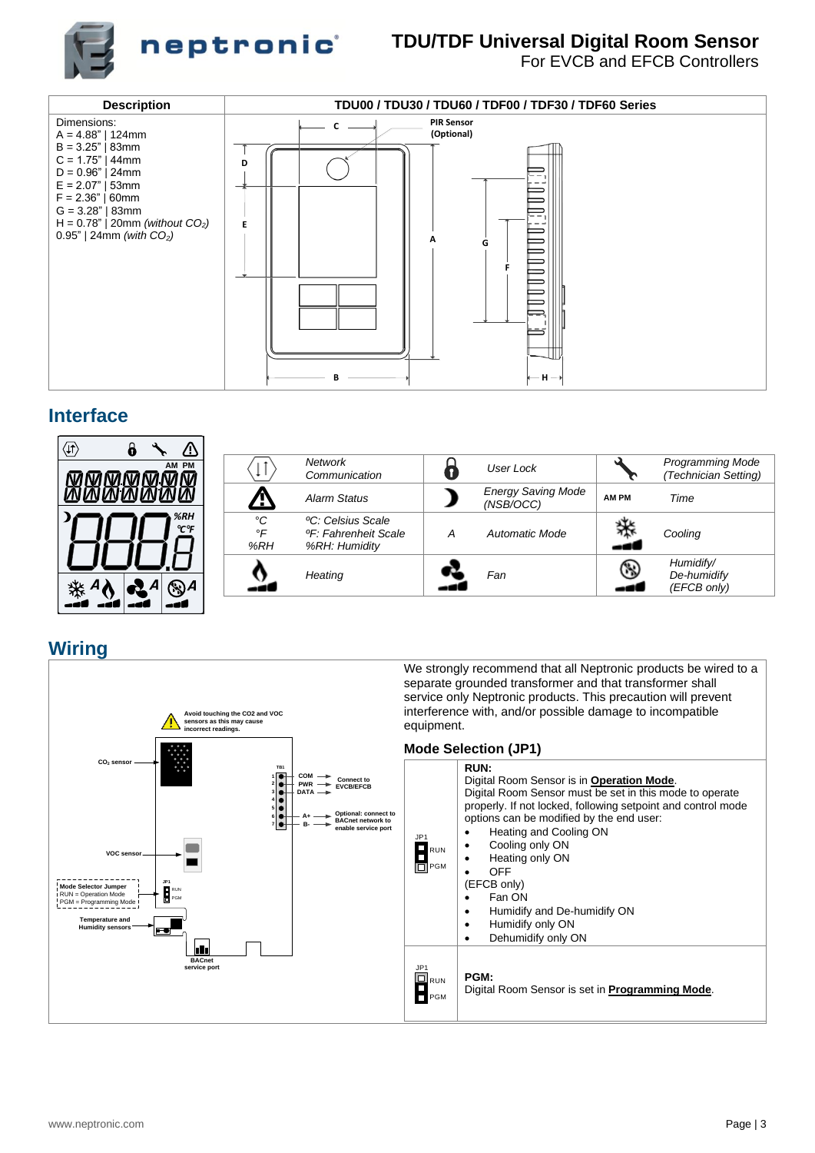

## **TDU/TDF Universal Digital Room Sensor**

For EVCB and EFCB Controllers



### **Interface**

| Λ<br>$\bf{6}$<br>$\langle \text{H} \rangle$<br>AM PM<br>WWWWWW |                 | <b>Network</b><br>Communication                                                      |   | User Lock                              |              | <b>Programming Mode</b><br>(Technician Setting) |
|----------------------------------------------------------------|-----------------|--------------------------------------------------------------------------------------|---|----------------------------------------|--------------|-------------------------------------------------|
| iMMMMMM                                                        |                 | Alarm Status                                                                         |   | <b>Energy Saving Mode</b><br>(NSB/OCC) | <b>AM PM</b> | Time                                            |
| %RH<br>°C°F                                                    | °C<br>°F<br>%RH | <sup>o</sup> C: Celsius Scale<br><b><i>OF: Fahrenheit Scale</i></b><br>%RH: Humidity | А | Automatic Mode                         |              | Cooling                                         |
| ₩<br>(%) A                                                     |                 | Heating                                                                              |   | Fan                                    |              | Humidify/<br>De-humidify<br>(EFCB only)         |
| 0 ه ه                                                          |                 |                                                                                      |   |                                        |              |                                                 |

## <span id="page-2-0"></span>**Wiring**

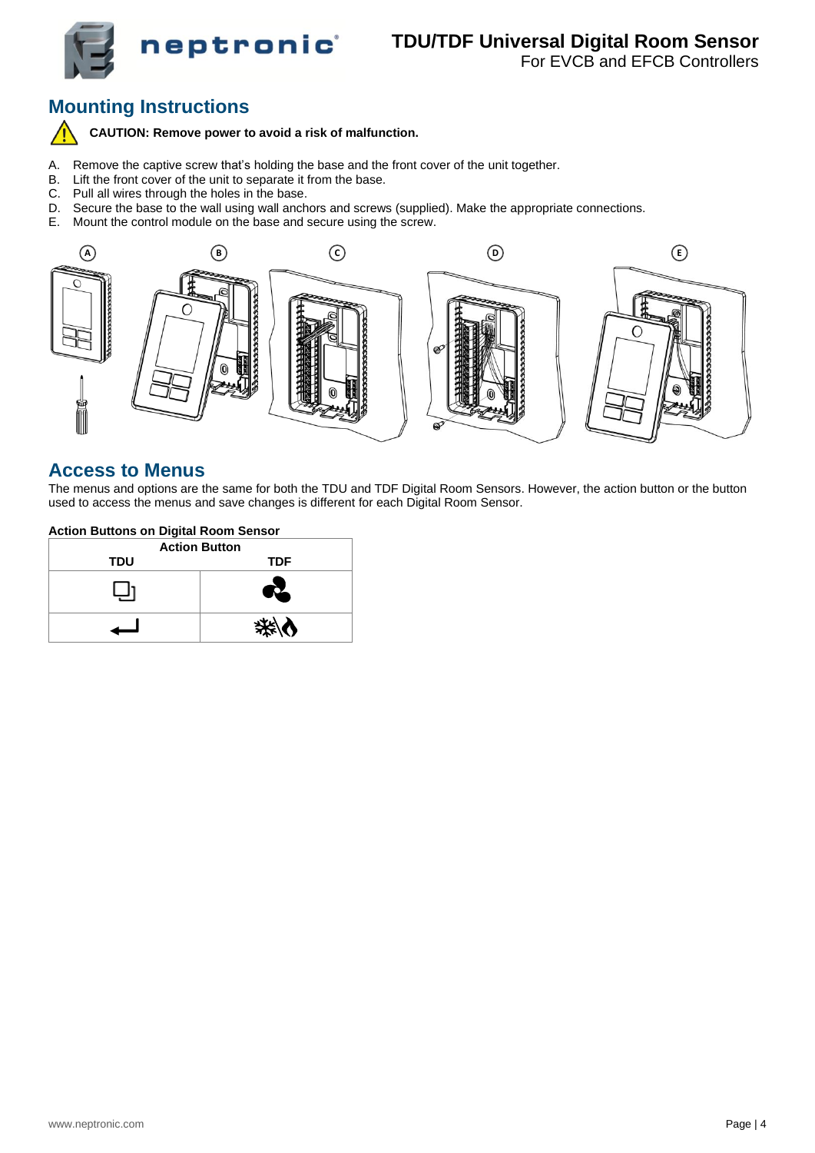

For EVCB and EFCB Controllers

## **Mounting Instructions**

**CAUTION: Remove power to avoid a risk of malfunction.**

- A. Remove the captive screw that's holding the base and the front cover of the unit together.
- B. Lift the front cover of the unit to separate it from the base.<br>C. Pull all wires through the holes in the base.
- C. Pull all wires through the holes in the base.<br>D. Secure the base to the wall using wall anch
- D. Secure the base to the wall using wall anchors and screws (supplied). Make the appropriate connections.<br>E. Mount the control module on the base and secure using the screw.
- Mount the control module on the base and secure using the screw.



### **Access to Menus**

The menus and options are the same for both the TDU and TDF Digital Room Sensors. However, the action button or the button used to access the menus and save changes is different for each Digital Room Sensor.

| <b>Action Buttons on Digital Room Sensor</b> |     |  |  |
|----------------------------------------------|-----|--|--|
| <b>Action Button</b>                         |     |  |  |
| TDU                                          | TDF |  |  |
|                                              |     |  |  |
|                                              |     |  |  |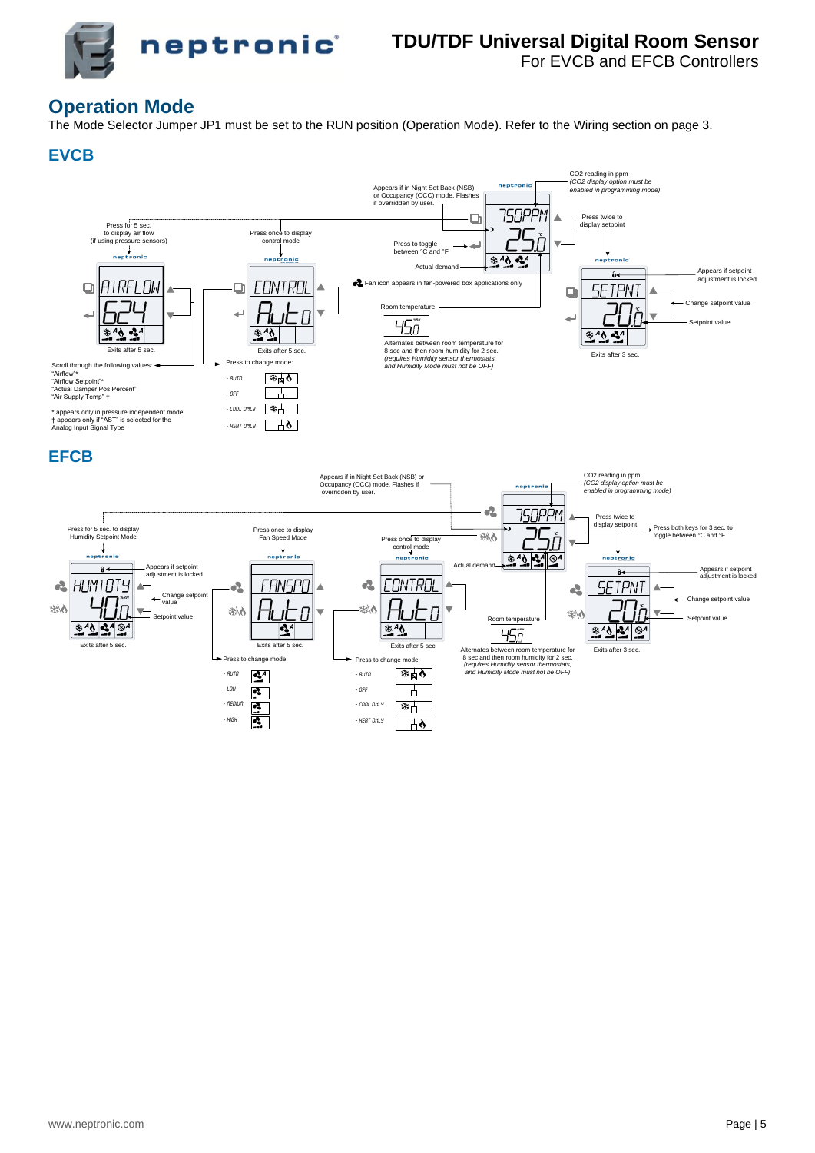

## **TDU/TDF Universal Digital Room Sensor**

For EVCB and EFCB Controllers

## **Operation Mode**

The Mode Selector Jumper JP1 must be set to the RUN position (Operation Mode). Refer to the Wiring section on page [3.](#page-2-0)

### **EVCB**



### **EFCB**

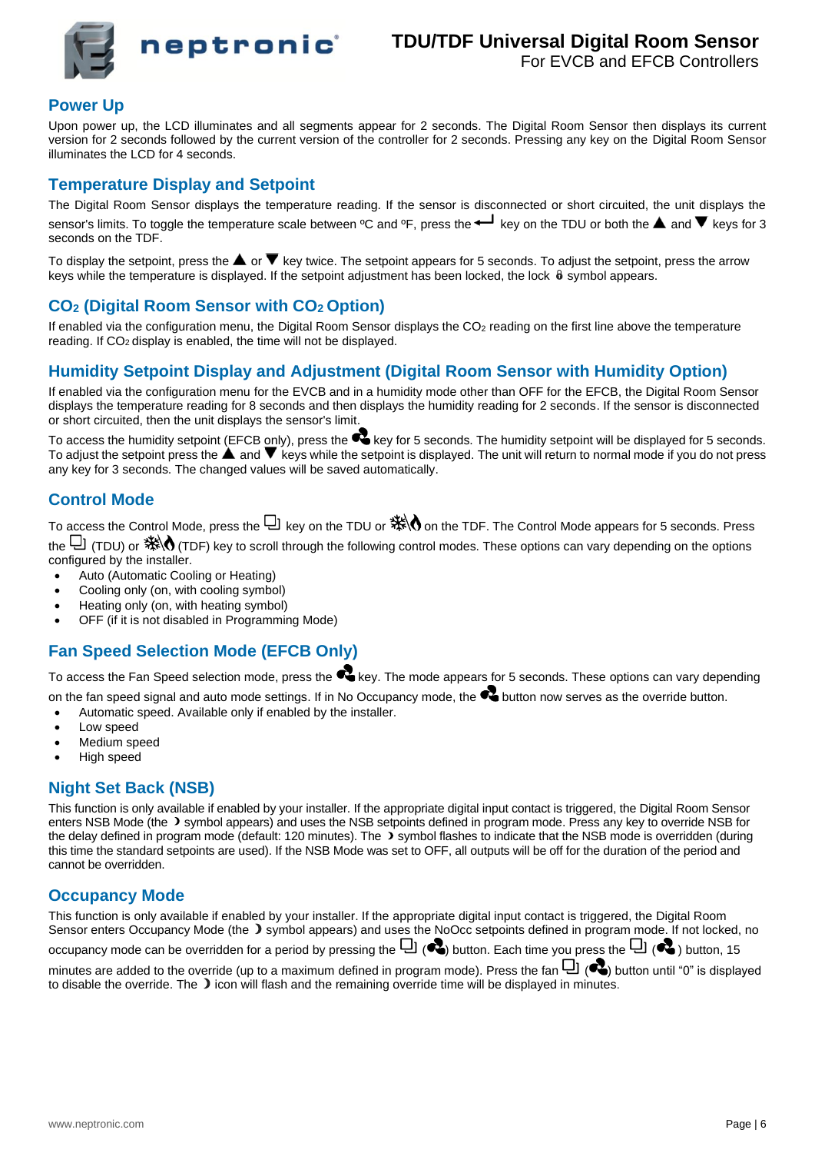

#### **Power Up**

Upon power up, the LCD illuminates and all segments appear for 2 seconds. The Digital Room Sensor then displays its current version for 2 seconds followed by the current version of the controller for 2 seconds. Pressing any key on the Digital Room Sensor illuminates the LCD for 4 seconds.

#### **Temperature Display and Setpoint**

The Digital Room Sensor displays the temperature reading. If the sensor is disconnected or short circuited, the unit displays the sensor's limits. To toggle the temperature scale between <sup>o</sup>C and <sup>o</sup>F, press the  $\leftarrow$  key on the TDU or both the **A** and **V** keys for 3 seconds on the TDF.

To display the setpoint, press the  $\blacktriangle$  or  $\nabla$  key twice. The setpoint appears for 5 seconds. To adjust the setpoint, press the arrow keys while the temperature is displayed. If the setpoint adjustment has been locked, the lock  $\theta$  symbol appears.

#### **CO<sup>2</sup> (Digital Room Sensor with CO2 Option)**

neptronic<sup>®</sup>

If enabled via the configuration menu, the Digital Room Sensor displays the  $CO<sub>2</sub>$  reading on the first line above the temperature reading. If CO<sub>2</sub> display is enabled, the time will not be displayed.

#### **Humidity Setpoint Display and Adjustment (Digital Room Sensor with Humidity Option)**

If enabled via the configuration menu for the EVCB and in a humidity mode other than OFF for the EFCB, the Digital Room Sensor displays the temperature reading for 8 seconds and then displays the humidity reading for 2 seconds. If the sensor is disconnected or short circuited, then the unit displays the sensor's limit.

To access the humidity setpoint (EFCB only), press the  $\blacktriangleleft$  key for 5 seconds. The humidity setpoint will be displayed for 5 seconds. To adjust the setpoint press the  $\blacktriangle$  and  $\blacktriangledown$  keys while the setpoint is displayed. The unit will return to normal mode if you do not press any key for 3 seconds. The changed values will be saved automatically.

#### **Control Mode**

To access the Control Mode, press the  $\boxdot$  key on the TDU or  $\ddot{*} \otimes \bullet$  on the TDF. The Control Mode appears for 5 seconds. Press the  $\Box$  (TDU) or ※ (TDF) key to scroll through the following control modes. These options can vary depending on the options configured by the installer.

- Auto (Automatic Cooling or Heating)
- Cooling only (on, with cooling symbol)
- Heating only (on, with heating symbol)
- OFF (if it is not disabled in Programming Mode)

### **Fan Speed Selection Mode (EFCB Only)**

To access the Fan Speed selection mode, press the  $\blacksquare$  key. The mode appears for 5 seconds. These options can vary depending

- on the fan speed signal and auto mode settings. If in No Occupancy mode, the  $\blacktriangleleft$  button now serves as the override button.
- Automatic speed. Available only if enabled by the installer.
- Low speed
- Medium speed
- High speed

#### **Night Set Back (NSB)**

This function is only available if enabled by your installer. If the appropriate digital input contact is triggered, the Digital Room Sensor enters NSB Mode (the  $\rightarrow$  symbol appears) and uses the NSB setpoints defined in program mode. Press any key to override NSB for the delay defined in program mode (default: 120 minutes). The  $\rightarrow$  symbol flashes to indicate that the NSB mode is overridden (during this time the standard setpoints are used). If the NSB Mode was set to OFF, all outputs will be off for the duration of the period and cannot be overridden.

#### **Occupancy Mode**

| This function is only available if enabled by your installer. If the appropriate digital input contact is triggered, the Digital Room                  |
|--------------------------------------------------------------------------------------------------------------------------------------------------------|
| Sensor enters Occupancy Mode (the ) symbol appears) and uses the NoOcc setpoints defined in program mode. If not locked, no                            |
| occupancy mode can be overridden for a period by pressing the $\Box$ ( $\clubsuit$ ) button. Each time you press the $\Box$ ( $\clubsuit$ ) button, 15 |
| minutes are added to the override (up to a maximum defined in program mode). Press the fan $\Box$ ( $\Box$ ) button until "0" is displayed             |
| to disable the override. The $\triangleright$ icon will flash and the remaining override time will be displayed in minutes.                            |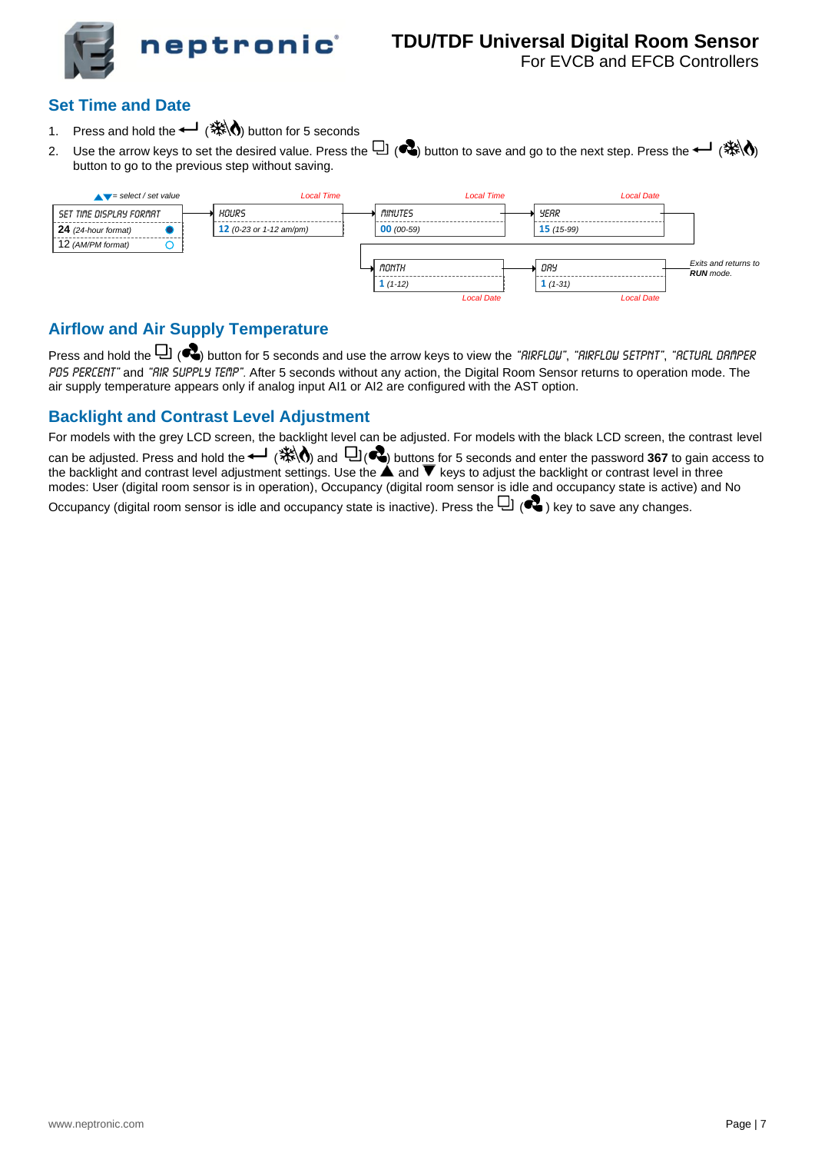

For EVCB and EFCB Controllers

### **Set Time and Date**

- 1. Press and hold the  $\leftarrow$  ( $\frac{1}{2}$  ) button for 5 seconds
- 2. Use the arrow keys to set the desired value. Press the  $\Box$  (  $\clubsuit$ ) button to save and go to the next step. Press the  $\leftrightarrow$  ( $\clubsuit\lozenge$ ) button to go to the previous step without saving.



### **Airflow and Air Supply Temperature**

Press and hold the  $\Box$  ( $\clubsuit$ ) button for 5 seconds and use the arrow keys to view the "RIRFLOW", "RIRFLOW SETPNT", "RETURL DAMPER PDS PERCENT" and "RIR SUPPLY TEMP". After 5 seconds without any action, the Digital Room Sensor returns to operation mode. The air supply temperature appears only if analog input AI1 or AI2 are configured with the AST option.

#### **Backlight and Contrast Level Adjustment**

For models with the grey LCD screen, the backlight level can be adjusted. For models with the black LCD screen, the contrast level can be adjusted. Press and hold the ← (  $\mathcal{H}(\mathcal{R})$  and  $\Box$  ( $\blacktriangledown$ ) buttons for 5 seconds and enter the password 367 to gain access to the backlight and contrast level adjustment settings. Use the  $\blacktriangle$  and  $\blacktriangledown$  keys to adjust the backlight or contrast level in three modes: User (digital room sensor is in operation), Occupancy (digital room sensor is idle and occupancy state is active) and No Occupancy (digital room sensor is idle and occupancy state is inactive). Press the  $\Box$  ( $\clubsuit$ ) key to save any changes.